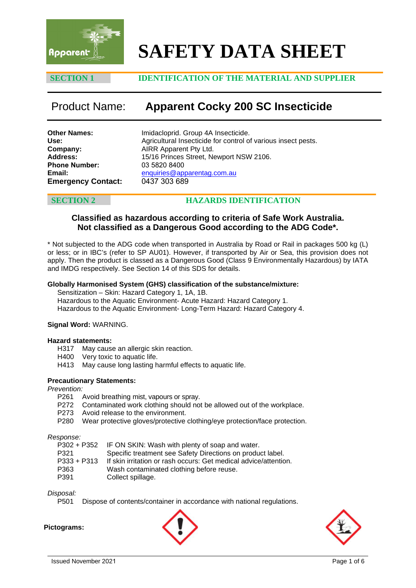

# **SAFETY DATA SHEET**

### **SECTION 1 IDENTIFICATION OF THE MATERIAL AND SUPPLIER**

## Product Name: **Apparent Cocky 200 SC Insecticide**

**Other Names: Use: Company: Address: Phone Number: Email: Emergency Contact:** Imidacloprid. Group 4A Insecticide. Agricultural Insecticide for control of various insect pests. AIRR Apparent Pty Ltd. 15/16 Princes Street, Newport NSW 2106. 03 5820 8400 [enquiries@apparentag.com.au](mailto:enquiries@apparentag.com.au) 0437 303 689

### **SECTION 2 HAZARDS IDENTIFICATION**

### **Classified as hazardous according to criteria of Safe Work Australia. Not classified as a Dangerous Good according to the ADG Code\*.**

\* Not subjected to the ADG code when transported in Australia by Road or Rail in packages 500 kg (L) or less; or in IBC's (refer to SP AU01). However, if transported by Air or Sea, this provision does not apply. Then the product is classed as a Dangerous Good (Class 9 Environmentally Hazardous) by IATA and IMDG respectively. See Section 14 of this SDS for details.

#### **Globally Harmonised System (GHS) classification of the substance/mixture:**

Sensitization – Skin: Hazard Category 1, 1A, 1B. Hazardous to the Aquatic Environment- Acute Hazard: Hazard Category 1. Hazardous to the Aquatic Environment- Long-Term Hazard: Hazard Category 4.

#### **Signal Word:** WARNING.

# **Hazard statements:**

- H317 May cause an allergic skin reaction.<br>H400 Very toxic to aquatic life.
- Very toxic to aquatic life.
- H413 May cause long lasting harmful effects to aquatic life.

#### **Precautionary Statements:**

*Prevention:*

- Avoid breathing mist, vapours or spray.
- P272 Contaminated work clothing should not be allowed out of the workplace.
- P273 Avoid release to the environment.
- P280 Wear protective gloves/protective clothing/eye protection/face protection.

#### *Response:*

| P302 + P352 IF ON SKIN: Wash with plenty of soap and water.      |
|------------------------------------------------------------------|
| Specific treatment see Safety Directions on product label.       |
| If skin irritation or rash occurs: Get medical advice/attention. |
| Wash contaminated clothing before reuse.                         |
| Collect spillage.                                                |
|                                                                  |

#### *Disposal:*

P501 Dispose of contents/container in accordance with national regulations.

#### **Pictograms:**



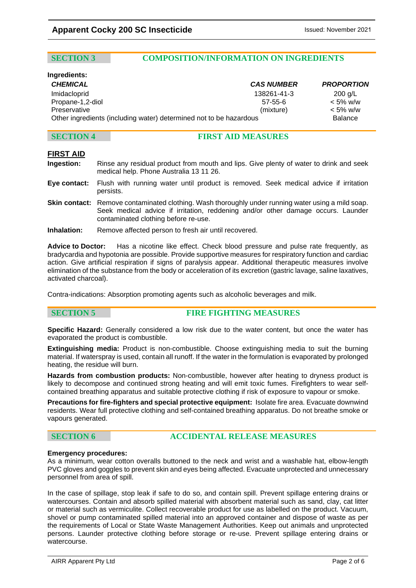### **SECTION 3 COMPOSITION/INFORMATION ON INGREDIENTS**

# **Ingredients:**

*CHEMICAL CAS NUMBER PROPORTION* Imidacloprid 138261-41-3 200 g/L Propane-1,2-diol 57-55-6 < 5% w/w Preservative (mixture) < 5% w/w Other ingredients (including water) determined not to be hazardous Balance

### **SECTION 4 FIRST AID MEASURES**

### **FIRST AID**

- **Ingestion:** Rinse any residual product from mouth and lips. Give plenty of water to drink and seek medical help. Phone Australia 13 11 26.
- **Eye contact:** Flush with running water until product is removed. Seek medical advice if irritation persists.
- **Skin contact:** Remove contaminated clothing. Wash thoroughly under running water using a mild soap. Seek medical advice if irritation, reddening and/or other damage occurs. Launder contaminated clothing before re-use.
- **Inhalation:** Remove affected person to fresh air until recovered.

**Advice to Doctor:** Has a nicotine like effect. Check blood pressure and pulse rate frequently, as bradycardia and hypotonia are possible. Provide supportive measures for respiratory function and cardiac action. Give artificial respiration if signs of paralysis appear. Additional therapeutic measures involve elimination of the substance from the body or acceleration of its excretion (gastric lavage, saline laxatives, activated charcoal).

Contra-indications: Absorption promoting agents such as alcoholic beverages and milk.

### **SECTION 5 FIRE FIGHTING MEASURES**

**Specific Hazard:** Generally considered a low risk due to the water content, but once the water has evaporated the product is combustible.

**Extinguishing media:** Product is non-combustible. Choose extinguishing media to suit the burning material. If waterspray is used, contain all runoff. If the water in the formulation is evaporated by prolonged heating, the residue will burn.

**Hazards from combustion products:** Non-combustible, however after heating to dryness product is likely to decompose and continued strong heating and will emit toxic fumes. Firefighters to wear selfcontained breathing apparatus and suitable protective clothing if risk of exposure to vapour or smoke.

**Precautions for fire-fighters and special protective equipment:** Isolate fire area. Evacuate downwind residents. Wear full protective clothing and self-contained breathing apparatus. Do not breathe smoke or vapours generated.

#### **SECTION 6 ACCIDENTAL RELEASE MEASURES**

#### **Emergency procedures:**

As a minimum, wear cotton overalls buttoned to the neck and wrist and a washable hat, elbow-length PVC gloves and goggles to prevent skin and eyes being affected. Evacuate unprotected and unnecessary personnel from area of spill.

In the case of spillage, stop leak if safe to do so, and contain spill. Prevent spillage entering drains or watercourses. Contain and absorb spilled material with absorbent material such as sand, clay, cat litter or material such as vermiculite. Collect recoverable product for use as labelled on the product. Vacuum, shovel or pump contaminated spilled material into an approved container and dispose of waste as per the requirements of Local or State Waste Management Authorities. Keep out animals and unprotected persons. Launder protective clothing before storage or re-use. Prevent spillage entering drains or watercourse.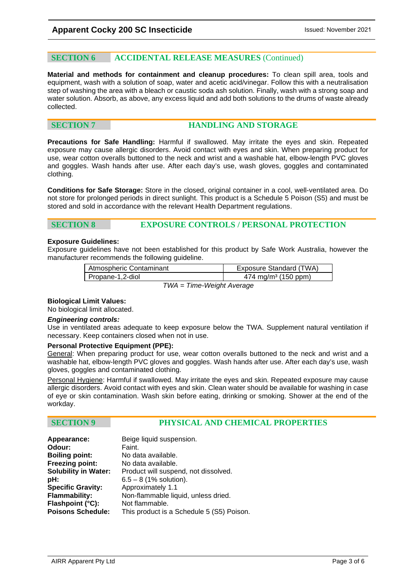### **SECTION 6 ACCIDENTAL RELEASE MEASURES** (Continued)

**Material and methods for containment and cleanup procedures:** To clean spill area, tools and equipment, wash with a solution of soap, water and acetic acid/vinegar. Follow this with a neutralisation step of washing the area with a bleach or caustic soda ash solution. Finally, wash with a strong soap and water solution. Absorb, as above, any excess liquid and add both solutions to the drums of waste already collected.

### **SECTION 7 HANDLING AND STORAGE**

**Precautions for Safe Handling:** Harmful if swallowed. May irritate the eyes and skin. Repeated exposure may cause allergic disorders. Avoid contact with eyes and skin. When preparing product for use, wear cotton overalls buttoned to the neck and wrist and a washable hat, elbow-length PVC gloves and goggles. Wash hands after use. After each day's use, wash gloves, goggles and contaminated clothing.

**Conditions for Safe Storage:** Store in the closed, original container in a cool, well-ventilated area. Do not store for prolonged periods in direct sunlight. This product is a Schedule 5 Poison (S5) and must be stored and sold in accordance with the relevant Health Department regulations.

### **SECTION 8 EXPOSURE CONTROLS / PERSONAL PROTECTION**

#### **Exposure Guidelines:**

Exposure guidelines have not been established for this product by Safe Work Australia, however the manufacturer recommends the following guideline.

| Atmospheric Contaminant | Exposure Standard (TWA)         |
|-------------------------|---------------------------------|
| Propane-1,2-diol        | 474 mg/m <sup>3</sup> (150 ppm) |

*TWA = Time-Weight Average*

#### **Biological Limit Values:**

No biological limit allocated.

#### *Engineering controls:*

Use in ventilated areas adequate to keep exposure below the TWA. Supplement natural ventilation if necessary. Keep containers closed when not in use.

#### **Personal Protective Equipment (PPE):**

General: When preparing product for use, wear cotton overalls buttoned to the neck and wrist and a washable hat, elbow-length PVC gloves and goggles. Wash hands after use. After each day's use, wash gloves, goggles and contaminated clothing.

Personal Hygiene: Harmful if swallowed. May irritate the eyes and skin. Repeated exposure may cause allergic disorders. Avoid contact with eyes and skin. Clean water should be available for washing in case of eye or skin contamination. Wash skin before eating, drinking or smoking. Shower at the end of the workday.

#### **SECTION 9 PHYSICAL AND CHEMICAL PROPERTIES**

| Appearance:                 | Beige liquid suspension.                  |
|-----------------------------|-------------------------------------------|
| Odour:                      | Faint.                                    |
| <b>Boiling point:</b>       | No data available.                        |
| <b>Freezing point:</b>      | No data available.                        |
| <b>Solubility in Water:</b> | Product will suspend, not dissolved.      |
| pH:                         | $6.5 - 8$ (1% solution).                  |
| <b>Specific Gravity:</b>    | Approximately 1.1                         |
| Flammability:               | Non-flammable liquid, unless dried.       |
| Flashpoint (°C):            | Not flammable.                            |
| <b>Poisons Schedule:</b>    | This product is a Schedule 5 (S5) Poison. |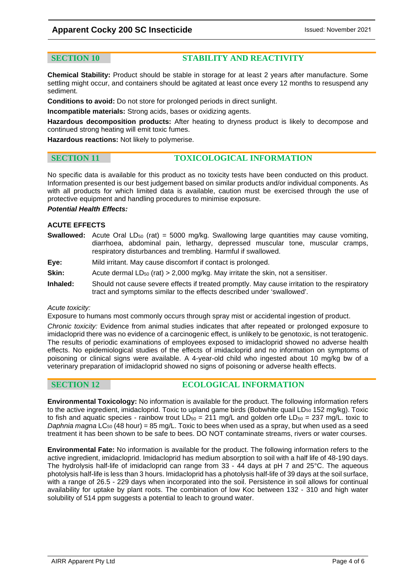### **Apparent Cocky 200 SC Insecticide ISSUED:** Issued: November 2021

### **SECTION 10 STABILITY AND REACTIVITY**

**Chemical Stability:** Product should be stable in storage for at least 2 years after manufacture. Some settling might occur, and containers should be agitated at least once every 12 months to resuspend any sediment.

**Conditions to avoid:** Do not store for prolonged periods in direct sunlight.

**Incompatible materials:** Strong acids, bases or oxidizing agents.

**Hazardous decomposition products:** After heating to dryness product is likely to decompose and continued strong heating will emit toxic fumes.

**Hazardous reactions:** Not likely to polymerise.

### **SECTION 11 TOXICOLOGICAL INFORMATION**

No specific data is available for this product as no toxicity tests have been conducted on this product. Information presented is our best judgement based on similar products and/or individual components. As with all products for which limited data is available, caution must be exercised through the use of protective equipment and handling procedures to minimise exposure.

#### *Potential Health Effects:*

#### **ACUTE EFFECTS**

- **Swallowed:** Acute Oral  $LD_{50}$  (rat) = 5000 mg/kg. Swallowing large quantities may cause vomiting, diarrhoea, abdominal pain, lethargy, depressed muscular tone, muscular cramps, respiratory disturbances and trembling. Harmful if swallowed.
- **Eye:** Mild irritant. May cause discomfort if contact is prolonged.
- **Skin:** Acute dermal  $LD_{50}$  (rat)  $> 2,000$  mg/kg. May irritate the skin, not a sensitiser.
- **Inhaled:** Should not cause severe effects if treated promptly. May cause irritation to the respiratory tract and symptoms similar to the effects described under 'swallowed'.

#### *Acute toxicity:*

Exposure to humans most commonly occurs through spray mist or accidental ingestion of product.

*Chronic toxicity:* Evidence from animal studies indicates that after repeated or prolonged exposure to imidacloprid there was no evidence of a carcinogenic effect, is unlikely to be genotoxic, is not teratogenic. The results of periodic examinations of employees exposed to imidacloprid showed no adverse health effects. No epidemiological studies of the effects of imidacloprid and no information on symptoms of poisoning or clinical signs were available. A 4-year-old child who ingested about 10 mg/kg bw of a veterinary preparation of imidacloprid showed no signs of poisoning or adverse health effects.

**SECTION 12 ECOLOGICAL INFORMATION** 

**Environmental Toxicology:** No information is available for the product. The following information refers to the active ingredient, imidacloprid. Toxic to upland game birds (Bobwhite quail LD $_{50}$  152 mg/kg). Toxic to fish and aquatic species - rainbow trout  $LD_{50} = 211$  mg/L and golden orfe  $LD_{50} = 237$  mg/L. toxic to *Daphnia magna* LC<sub>50</sub> (48 hour) = 85 mg/L. Toxic to bees when used as a spray, but when used as a seed treatment it has been shown to be safe to bees. DO NOT contaminate streams, rivers or water courses.

**Environmental Fate:** No information is available for the product. The following information refers to the active ingredient, imidacloprid. Imidacloprid has medium absorption to soil with a half life of 48-190 days. The hydrolysis half-life of imidacloprid can range from 33 - 44 days at pH 7 and 25°C. The aqueous photolysis half-life is less than 3 hours. Imidacloprid has a photolysis half-life of 39 days at the soil surface, with a range of 26.5 - 229 days when incorporated into the soil. Persistence in soil allows for continual availability for uptake by plant roots. The combination of low Koc between 132 - 310 and high water solubility of 514 ppm suggests a potential to leach to ground water.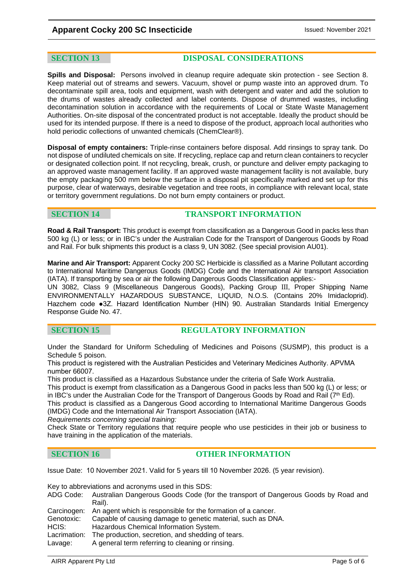**SECTION 13 DISPOSAL CONSIDERATIONS**

**Spills and Disposal:** Persons involved in cleanup require adequate skin protection - see Section 8. Keep material out of streams and sewers. Vacuum, shovel or pump waste into an approved drum. To decontaminate spill area, tools and equipment, wash with detergent and water and add the solution to the drums of wastes already collected and label contents. Dispose of drummed wastes, including decontamination solution in accordance with the requirements of Local or State Waste Management Authorities. On-site disposal of the concentrated product is not acceptable. Ideally the product should be used for its intended purpose. If there is a need to dispose of the product, approach local authorities who hold periodic collections of unwanted chemicals (ChemClear®).

**Disposal of empty containers:** Triple-rinse containers before disposal. Add rinsings to spray tank. Do not dispose of undiluted chemicals on site. If recycling, replace cap and return clean containers to recycler or designated collection point. If not recycling, break, crush, or puncture and deliver empty packaging to an approved waste management facility. If an approved waste management facility is not available, bury the empty packaging 500 mm below the surface in a disposal pit specifically marked and set up for this purpose, clear of waterways, desirable vegetation and tree roots, in compliance with relevant local, state or territory government regulations. Do not burn empty containers or product.

### **SECTION 14 TRANSPORT INFORMATION**

**Road & Rail Transport:** This product is exempt from classification as a Dangerous Good in packs less than 500 kg (L) or less; or in IBC's under the Australian Code for the Transport of Dangerous Goods by Road and Rail. For bulk shipments this product is a class 9, UN 3082. (See special provision AU01).

**Marine and Air Transport:** Apparent Cocky 200 SC Herbicide is classified as a Marine Pollutant according to International Maritime Dangerous Goods (IMDG) Code and the International Air transport Association (IATA). If transporting by sea or air the following Dangerous Goods Classification applies:-

UN 3082, Class 9 (Miscellaneous Dangerous Goods), Packing Group III, Proper Shipping Name ENVIRONMENTALLY HAZARDOUS SUBSTANCE, LIQUID, N.O.S. (Contains 20% Imidacloprid). Hazchem code ●3Z. Hazard Identification Number (HIN) 90. Australian Standards Initial Emergency Response Guide No. 47.

### **SECTION 15 REGULATORY INFORMATION**

Under the Standard for Uniform Scheduling of Medicines and Poisons (SUSMP), this product is a Schedule 5 poison.

This product is registered with the Australian Pesticides and Veterinary Medicines Authority. APVMA number 66007.

This product is classified as a Hazardous Substance under the criteria of Safe Work Australia.

This product is exempt from classification as a Dangerous Good in packs less than 500 kg (L) or less; or in IBC's under the Australian Code for the Transport of Dangerous Goods by Road and Rail  $(7<sup>th</sup> Ed)$ .

This product is classified as a Dangerous Good according to International Maritime Dangerous Goods (IMDG) Code and the International Air Transport Association (IATA).

*Requirements concerning special training:* 

Check State or Territory regulations that require people who use pesticides in their job or business to have training in the application of the materials.

#### **SECTION 16 OTHER INFORMATION**

Issue Date: 10 November 2021. Valid for 5 years till 10 November 2026. (5 year revision).

Key to abbreviations and acronyms used in this SDS:

- ADG Code: Australian Dangerous Goods Code (for the transport of Dangerous Goods by Road and Rail).
- Carcinogen: An agent which is responsible for the formation of a cancer.
- Genotoxic: Capable of causing damage to genetic material, such as DNA.
- HCIS: Hazardous Chemical Information System.
- Lacrimation: The production, secretion, and shedding of tears.
- Lavage: A general term referring to cleaning or rinsing.